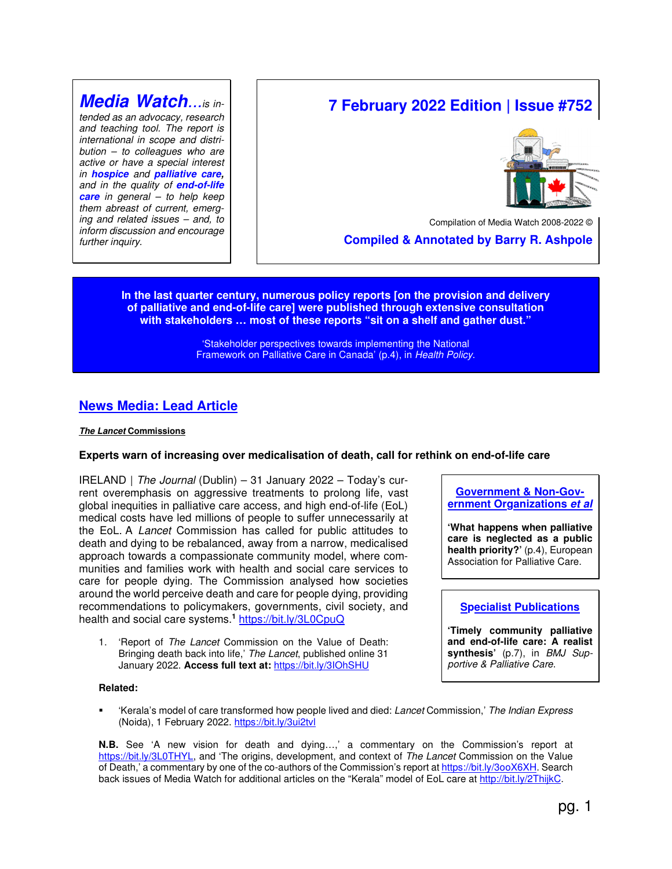## **Media Watch***...is in-*

*tended as an advocacy, research and teaching tool. The report is international in scope and distribution – to colleagues who are active or have a special interest in* **hospice** *and* **palliative care,** *and in the quality of* **end-of-life care** *in general – to help keep them abreast of current, emerging and related issues – and, to inform discussion and encourage further inquiry.*

# **7 February 2022 Edition | Issue #752**



Compilation of Media Watch 2008-2022 ©

 **Compiled & Annotated by Barry R. Ashpole** 

**In the last quarter century, numerous policy reports [on the provision and delivery of palliative and end-of-life care] were published through extensive consultation with stakeholders … most of these reports "sit on a shelf and gather dust."** 

> 'Stakeholder perspectives towards implementing the National Framework on Palliative Care in Canada' (p.4), in *Health Policy*.

## **News Media: Lead Article**

#### **The Lancet Commissions**

#### **Experts warn of increasing over medicalisation of death, call for rethink on end-of-life care**

IRELAND | *The Journal* (Dublin) – 31 January 2022 – Today's current overemphasis on aggressive treatments to prolong life, vast global inequities in palliative care access, and high end-of-life (EoL) medical costs have led millions of people to suffer unnecessarily at the EoL. A *Lancet* Commission has called for public attitudes to death and dying to be rebalanced, away from a narrow, medicalised approach towards a compassionate community model, where communities and families work with health and social care services to care for people dying. The Commission analysed how societies around the world perceive death and care for people dying, providing recommendations to policymakers, governments, civil society, and health and social care systems.**<sup>1</sup>** https://bit.ly/3L0CpuQ

1. 'Report of *The Lancet* Commission on the Value of Death: Bringing death back into life,' *The Lancet*, published online 31 January 2022. **Access full text at:** https://bit.ly/3IOhSHU

**Government & Non-Government Organizations et al**

**'What happens when palliative care is neglected as a public health priority?'** (p.4), European Association for Palliative Care.

## **Specialist Publications**

**'Timely community palliative and end-of-life care: A realist synthesis'** (p.7), in *BMJ Supportive & Palliative Care*.

#### **Related:**

 'Kerala's model of care transformed how people lived and died: *Lancet* Commission,' *The Indian Express* (Noida), 1 February 2022. https://bit.ly/3ui2tvl

**N.B.** See 'A new vision for death and dying…,' a commentary on the Commission's report at https://bit.ly/3L0THYL, and 'The origins, development, and context of *The Lancet* Commission on the Value of Death,' a commentary by one of the co-authors of the Commission's report at https://bit.ly/3ooX6XH. Search back issues of Media Watch for additional articles on the "Kerala" model of EoL care at http://bit.ly/2ThijkC.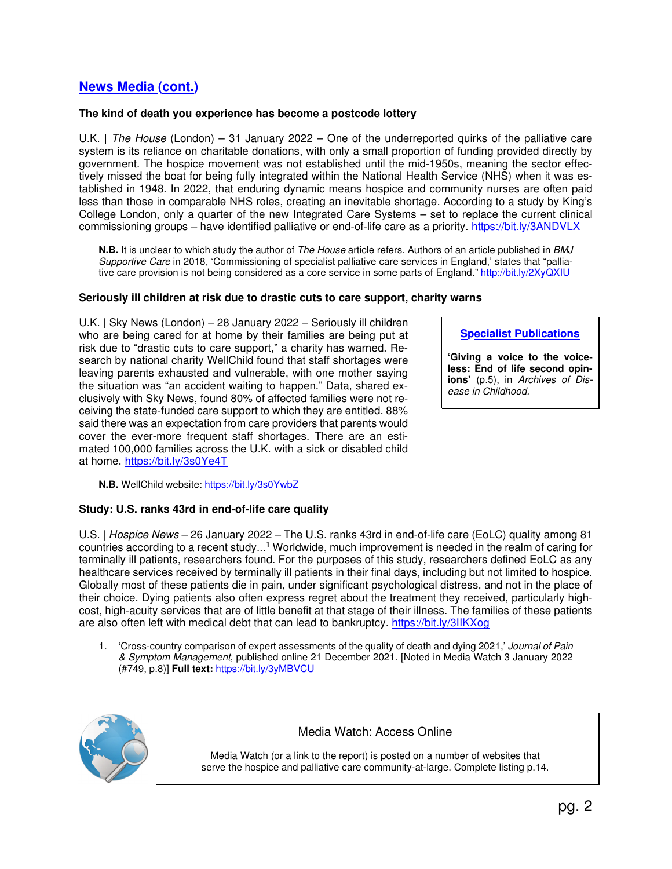## **News Media (cont.)**

## **The kind of death you experience has become a postcode lottery**

U.K. | *The House* (London) – 31 January 2022 – One of the underreported quirks of the palliative care system is its reliance on charitable donations, with only a small proportion of funding provided directly by government. The hospice movement was not established until the mid-1950s, meaning the sector effectively missed the boat for being fully integrated within the National Health Service (NHS) when it was established in 1948. In 2022, that enduring dynamic means hospice and community nurses are often paid less than those in comparable NHS roles, creating an inevitable shortage. According to a study by King's College London, only a quarter of the new Integrated Care Systems – set to replace the current clinical commissioning groups – have identified palliative or end-of-life care as a priority. https://bit.ly/3ANDVLX

**N.B.** It is unclear to which study the author of *The House* article refers. Authors of an article published in *BMJ Supportive Care* in 2018, 'Commissioning of specialist palliative care services in England,' states that "palliative care provision is not being considered as a core service in some parts of England." http://bit.ly/2XyQXIU

### **Seriously ill children at risk due to drastic cuts to care support, charity warns**

U.K. | Sky News (London) – 28 January 2022 – Seriously ill children who are being cared for at home by their families are being put at risk due to "drastic cuts to care support," a charity has warned. Research by national charity WellChild found that staff shortages were leaving parents exhausted and vulnerable, with one mother saying the situation was "an accident waiting to happen." Data, shared exclusively with Sky News, found 80% of affected families were not receiving the state-funded care support to which they are entitled. 88% said there was an expectation from care providers that parents would cover the ever-more frequent staff shortages. There are an estimated 100,000 families across the U.K. with a sick or disabled child at home. https://bit.ly/3s0Ye4T

**Specialist Publications**

**'Giving a voice to the voiceless: End of life second opinions'** (p.5), in *Archives of Disease in Childhood.*

**N.B.** WellChild website: https://bit.ly/3s0YwbZ

## **Study: U.S. ranks 43rd in end-of-life care quality**

U.S. | *Hospice News* – 26 January 2022 – The U.S. ranks 43rd in end-of-life care (EoLC) quality among 81 countries according to a recent study...**<sup>1</sup>** Worldwide, much improvement is needed in the realm of caring for terminally ill patients, researchers found. For the purposes of this study, researchers defined EoLC as any healthcare services received by terminally ill patients in their final days, including but not limited to hospice. Globally most of these patients die in pain, under significant psychological distress, and not in the place of their choice. Dying patients also often express regret about the treatment they received, particularly highcost, high-acuity services that are of little benefit at that stage of their illness. The families of these patients are also often left with medical debt that can lead to bankruptcy. https://bit.ly/3IIKXog

1. 'Cross-country comparison of expert assessments of the quality of death and dying 2021,' *Journal of Pain & Symptom Management*, published online 21 December 2021. [Noted in Media Watch 3 January 2022 (#749, p.8)] **Full text:** https://bit.ly/3yMBVCU



## Media Watch: Access Online

Media Watch (or a link to the report) is posted on a number of websites that serve the hospice and palliative care community-at-large. Complete listing p.14.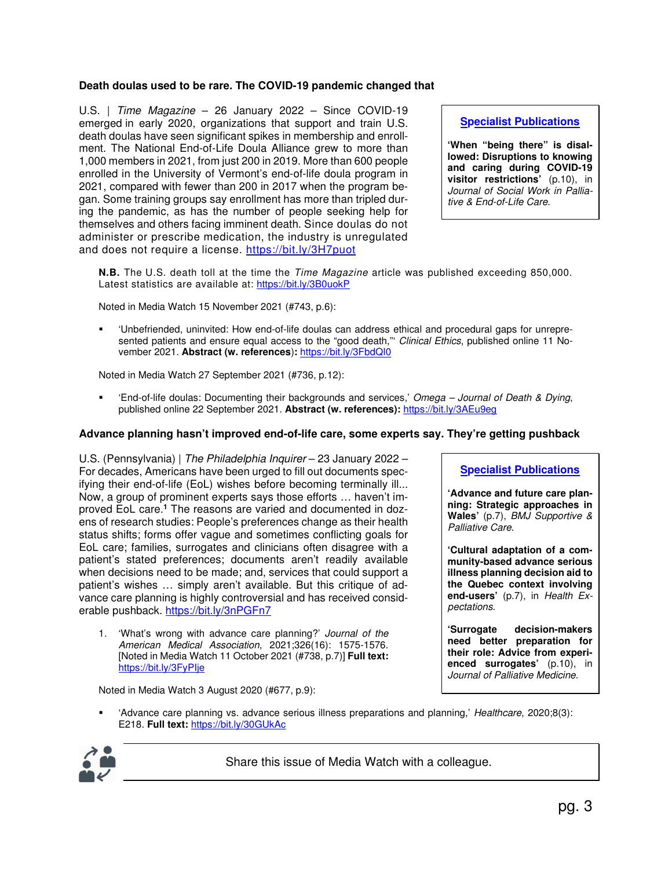## **Death doulas used to be rare. The COVID-19 pandemic changed that**

U.S. | *Time Magazine* – 26 January 2022 – Since COVID-19 emerged in early 2020, organizations that support and train U.S. death doulas have seen significant spikes in membership and enrollment. The National End-of-Life Doula Alliance grew to more than 1,000 members in 2021, from just 200 in 2019. More than 600 people enrolled in the University of Vermont's end-of-life doula program in 2021, compared with fewer than 200 in 2017 when the program began. Some training groups say enrollment has more than tripled during the pandemic, as has the number of people seeking help for themselves and others facing imminent death. Since doulas do not administer or prescribe medication, the industry is unregulated and does not require a license. https://bit.ly/3H7puot

## **Specialist Publications**

**'When "being there" is disallowed: Disruptions to knowing and caring during COVID-19 visitor restrictions'** (p.10), in *Journal of Social Work in Palliative & End-of-Life Care*.

**N.B.** The U.S. death toll at the time the *Time Magazine* article was published exceeding 850,000. Latest statistics are available at: https://bit.ly/3B0uokP

Noted in Media Watch 15 November 2021 (#743, p.6):

 'Unbefriended, uninvited: How end-of-life doulas can address ethical and procedural gaps for unrepresented patients and ensure equal access to the "good death,"' *Clinical Ethics*, published online 11 November 2021. **Abstract (w. references**)**:** https://bit.ly/3FbdQI0

Noted in Media Watch 27 September 2021 (#736, p.12):

 'End-of-life doulas: Documenting their backgrounds and services,' *Omega – Journal of Death & Dying*, published online 22 September 2021. **Abstract (w. references):** https://bit.ly/3AEu9eg

### **Advance planning hasn't improved end-of-life care, some experts say. They're getting pushback**

U.S. (Pennsylvania) | *The Philadelphia Inquirer* – 23 January 2022 – For decades, Americans have been urged to fill out documents specifying their end-of-life (EoL) wishes before becoming terminally ill... Now, a group of prominent experts says those efforts … haven't improved EoL care.<sup>1</sup> The reasons are varied and documented in dozens of research studies: People's preferences change as their health status shifts; forms offer vague and sometimes conflicting goals for EoL care; families, surrogates and clinicians often disagree with a patient's stated preferences; documents aren't readily available when decisions need to be made; and, services that could support a patient's wishes … simply aren't available. But this critique of advance care planning is highly controversial and has received considerable pushback. https://bit.ly/3nPGFn7

1. 'What's wrong with advance care planning?' *Journal of the American Medical Association*, 2021;326(16): 1575-1576. [Noted in Media Watch 11 October 2021 (#738, p.7)] **Full text:**  https://bit.ly/3FyPIje

Noted in Media Watch 3 August 2020 (#677, p.9):

**Specialist Publications**

**'Advance and future care planning: Strategic approaches in Wales'** (p.7), *BMJ Supportive & Palliative Care*.

**'Cultural adaptation of a community-based advance serious illness planning decision aid to the Quebec context involving end-users'** (p.7), in *Health Expectations*.

**'Surrogate decision-makers need better preparation for their role: Advice from experienced surrogates'** (p.10), in *Journal of Palliative Medicine*.

 'Advance care planning vs. advance serious illness preparations and planning,' *Healthcare*, 2020;8(3): E218. **Full text:** https://bit.ly/30GUkAc



Share this issue of Media Watch with a colleague.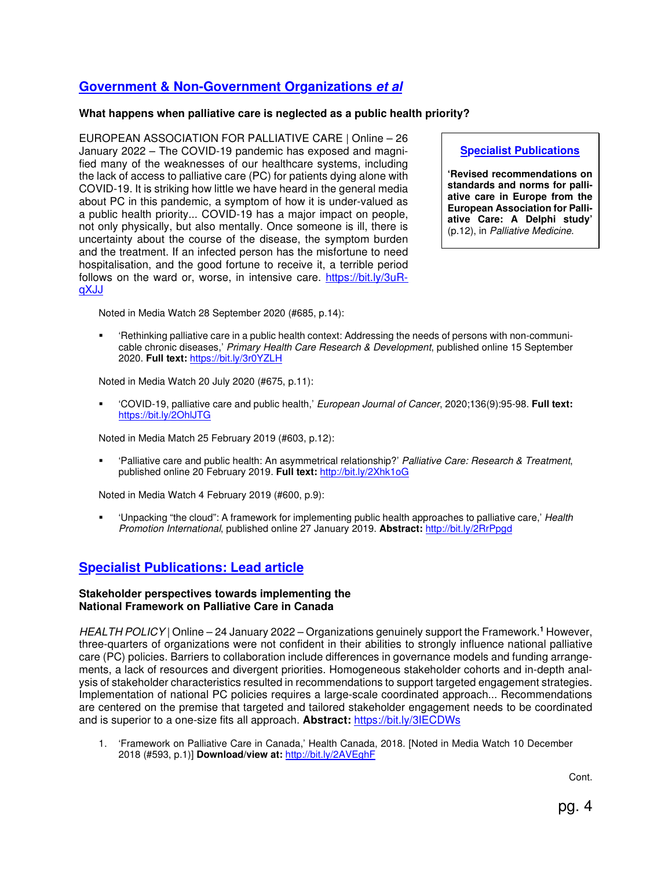## **Government & Non-Government Organizations et al**

### **What happens when palliative care is neglected as a public health priority?**

EUROPEAN ASSOCIATION FOR PALLIATIVE CARE | Online – 26 January 2022 – The COVID-19 pandemic has exposed and magnified many of the weaknesses of our healthcare systems, including the lack of access to palliative care (PC) for patients dying alone with COVID-19. It is striking how little we have heard in the general media about PC in this pandemic, a symptom of how it is under-valued as a public health priority... COVID-19 has a major impact on people, not only physically, but also mentally. Once someone is ill, there is uncertainty about the course of the disease, the symptom burden and the treatment. If an infected person has the misfortune to need hospitalisation, and the good fortune to receive it, a terrible period follows on the ward or, worse, in intensive care. https://bit.ly/3uRqXJJ

Noted in Media Watch 28 September 2020 (#685, p.14):

**Specialist Publications 'Revised recommendations on** 

**standards and norms for palliative care in Europe from the European Association for Palliative Care: A Delphi study'** (p.12), in *Palliative Medicine*.

 'Rethinking palliative care in a public health context: Addressing the needs of persons with non-communicable chronic diseases,' *Primary Health Care Research & Development*, published online 15 September 2020. **Full text:** https://bit.ly/3r0YZLH

Noted in Media Watch 20 July 2020 (#675, p.11):

 'COVID-19, palliative care and public health,' *European Journal of Cancer*, 2020;136(9):95-98. **Full text:** https://bit.ly/2OhlJTG

Noted in Media Match 25 February 2019 (#603, p.12):

 'Palliative care and public health: An asymmetrical relationship?' *Palliative Care: Research & Treatment*, published online 20 February 2019. **Full text:** http://bit.ly/2Xhk1oG

Noted in Media Watch 4 February 2019 (#600, p.9):

 'Unpacking "the cloud": A framework for implementing public health approaches to palliative care,' *Health Promotion International*, published online 27 January 2019. **Abstract:** http://bit.ly/2RrPpgd

## **Specialist Publications: Lead article**

#### **Stakeholder perspectives towards implementing the National Framework on Palliative Care in Canada**

HEALTH POLICY | Online – 24 January 2022 – Organizations genuinely support the Framework.<sup>1</sup> However, three-quarters of organizations were not confident in their abilities to strongly influence national palliative care (PC) policies. Barriers to collaboration include differences in governance models and funding arrangements, a lack of resources and divergent priorities. Homogeneous stakeholder cohorts and in-depth analysis of stakeholder characteristics resulted in recommendations to support targeted engagement strategies. Implementation of national PC policies requires a large-scale coordinated approach... Recommendations are centered on the premise that targeted and tailored stakeholder engagement needs to be coordinated and is superior to a one-size fits all approach. **Abstract:** https://bit.ly/3IECDWs

1. 'Framework on Palliative Care in Canada,' Health Canada, 2018. [Noted in Media Watch 10 December 2018 (#593, p.1)] **Download/view at:** http://bit.ly/2AVEghF

Cont.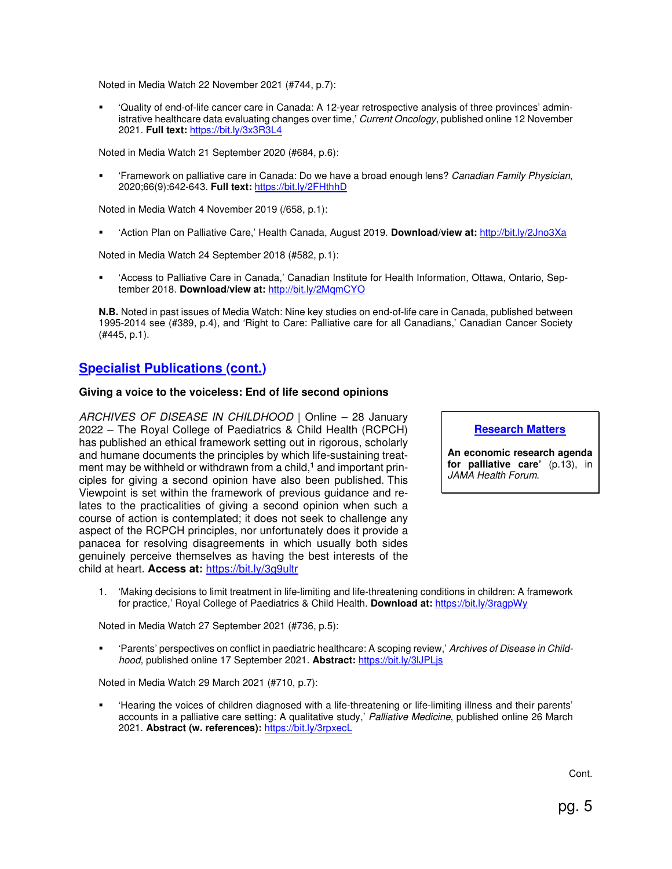Noted in Media Watch 22 November 2021 (#744, p.7):

 'Quality of end-of-life cancer care in Canada: A 12-year retrospective analysis of three provinces' administrative healthcare data evaluating changes over time,' *Current Oncology*, published online 12 November 2021. **Full text:** https://bit.ly/3x3R3L4

Noted in Media Watch 21 September 2020 (#684, p.6):

 'Framework on palliative care in Canada: Do we have a broad enough lens? *Canadian Family Physician*, 2020;66(9):642-643. **Full text:** https://bit.ly/2FHthhD

Noted in Media Watch 4 November 2019 (/658, p.1):

'Action Plan on Palliative Care,' Health Canada, August 2019. **Download/view at:** http://bit.ly/2Jno3Xa

Noted in Media Watch 24 September 2018 (#582, p.1):

 'Access to Palliative Care in Canada,' Canadian Institute for Health Information, Ottawa, Ontario, September 2018. **Download/view at: http://bit.ly/2MqmCYO** 

**N.B.** Noted in past issues of Media Watch: Nine key studies on end-of-life care in Canada, published between 1995-2014 see (#389, p.4), and 'Right to Care: Palliative care for all Canadians,' Canadian Cancer Society (#445, p.1).

## **Specialist Publications (cont.)**

#### **Giving a voice to the voiceless: End of life second opinions**

*ARCHIVES OF DISEASE IN CHILDHOOD* | Online – 28 January 2022 – The Royal College of Paediatrics & Child Health (RCPCH) has published an ethical framework setting out in rigorous, scholarly and humane documents the principles by which life-sustaining treatment may be withheld or withdrawn from a child,**<sup>1</sup>** and important principles for giving a second opinion have also been published. This Viewpoint is set within the framework of previous guidance and relates to the practicalities of giving a second opinion when such a course of action is contemplated; it does not seek to challenge any aspect of the RCPCH principles, nor unfortunately does it provide a panacea for resolving disagreements in which usually both sides genuinely perceive themselves as having the best interests of the child at heart. **Access at:** https://bit.ly/3g9ultr

**Research Matters**

**An economic research agenda for palliative care'** (p.13), in *JAMA Health Forum*.

1. 'Making decisions to limit treatment in life-limiting and life-threatening conditions in children: A framework for practice,' Royal College of Paediatrics & Child Health. **Download at:** https://bit.ly/3ragpWy

Noted in Media Watch 27 September 2021 (#736, p.5):

 'Parents' perspectives on conflict in paediatric healthcare: A scoping review,' *Archives of Disease in Childhood*, published online 17 September 2021. **Abstract:** https://bit.ly/3lJPLjs

Noted in Media Watch 29 March 2021 (#710, p.7):

 'Hearing the voices of children diagnosed with a life-threatening or life-limiting illness and their parents' accounts in a palliative care setting: A qualitative study,' *Palliative Medicine*, published online 26 March 2021. **Abstract (w. references):** https://bit.ly/3rpxecL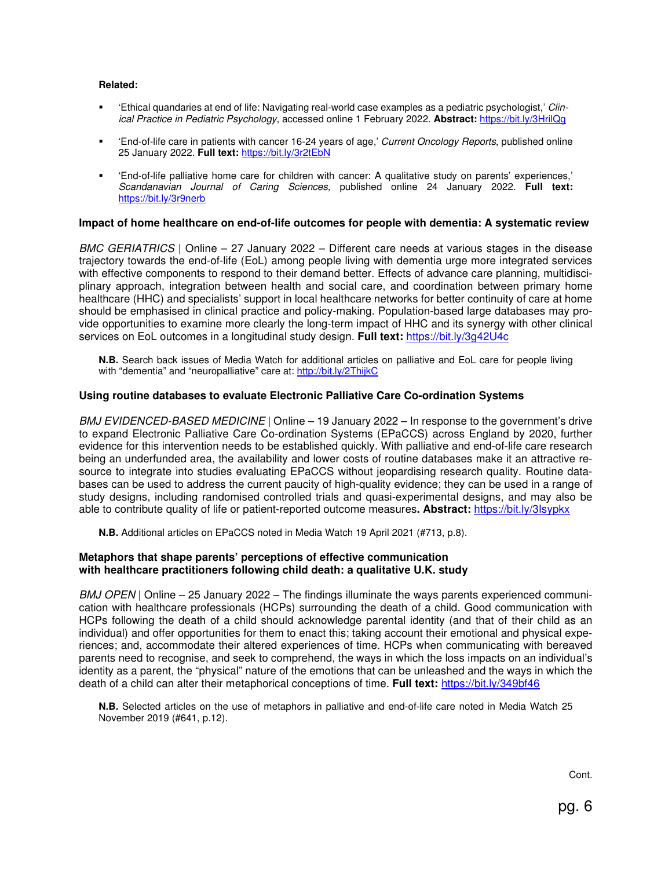#### **Related:**

- 'Ethical quandaries at end of life: Navigating real-world case examples as a pediatric psychologist,' *Clinical Practice in Pediatric Psychology*, accessed online 1 February 2022. **Abstract:** https://bit.ly/3HrilQg
- 'End-of-life care in patients with cancer 16-24 years of age,' *Current Oncology Reports*, published online 25 January 2022. **Full text:** https://bit.ly/3r2tEbN
- 'End-of-life palliative home care for children with cancer: A qualitative study on parents' experiences,' *Scandanavian Journal of Caring Sciences*, published online 24 January 2022. **Full text:** https://bit.ly/3r9nerb

#### **Impact of home healthcare on end-of-life outcomes for people with dementia: A systematic review**

*BMC GERIATRICS* | Online – 27 January 2022 – Different care needs at various stages in the disease trajectory towards the end-of-life (EoL) among people living with dementia urge more integrated services with effective components to respond to their demand better. Effects of advance care planning, multidisciplinary approach, integration between health and social care, and coordination between primary home healthcare (HHC) and specialists' support in local healthcare networks for better continuity of care at home should be emphasised in clinical practice and policy-making. Population-based large databases may provide opportunities to examine more clearly the long-term impact of HHC and its synergy with other clinical services on EoL outcomes in a longitudinal study design. **Full text:** https://bit.ly/3g42U4c

**N.B.** Search back issues of Media Watch for additional articles on palliative and EoL care for people living with "dementia" and "neuropalliative" care at: http://bit.ly/2ThijkC

### **Using routine databases to evaluate Electronic Palliative Care Co-ordination Systems**

*BMJ EVIDENCED-BASED MEDICINE* | Online – 19 January 2022 – In response to the government's drive to expand Electronic Palliative Care Co-ordination Systems (EPaCCS) across England by 2020, further evidence for this intervention needs to be established quickly. With palliative and end-of-life care research being an underfunded area, the availability and lower costs of routine databases make it an attractive resource to integrate into studies evaluating EPaCCS without jeopardising research quality. Routine databases can be used to address the current paucity of high-quality evidence; they can be used in a range of study designs, including randomised controlled trials and quasi-experimental designs, and may also be able to contribute quality of life or patient-reported outcome measures**. Abstract:** https://bit.ly/3Isypkx

**N.B.** Additional articles on EPaCCS noted in Media Watch 19 April 2021 (#713, p.8).

#### **Metaphors that shape parents' perceptions of effective communication with healthcare practitioners following child death: a qualitative U.K. study**

*BMJ OPEN* | Online – 25 January 2022 – The findings illuminate the ways parents experienced communication with healthcare professionals (HCPs) surrounding the death of a child. Good communication with HCPs following the death of a child should acknowledge parental identity (and that of their child as an individual) and offer opportunities for them to enact this; taking account their emotional and physical experiences; and, accommodate their altered experiences of time. HCPs when communicating with bereaved parents need to recognise, and seek to comprehend, the ways in which the loss impacts on an individual's identity as a parent, the "physical" nature of the emotions that can be unleashed and the ways in which the death of a child can alter their metaphorical conceptions of time. **Full text:** https://bit.ly/349bf46

**N.B.** Selected articles on the use of metaphors in palliative and end-of-life care noted in Media Watch 25 November 2019 (#641, p.12).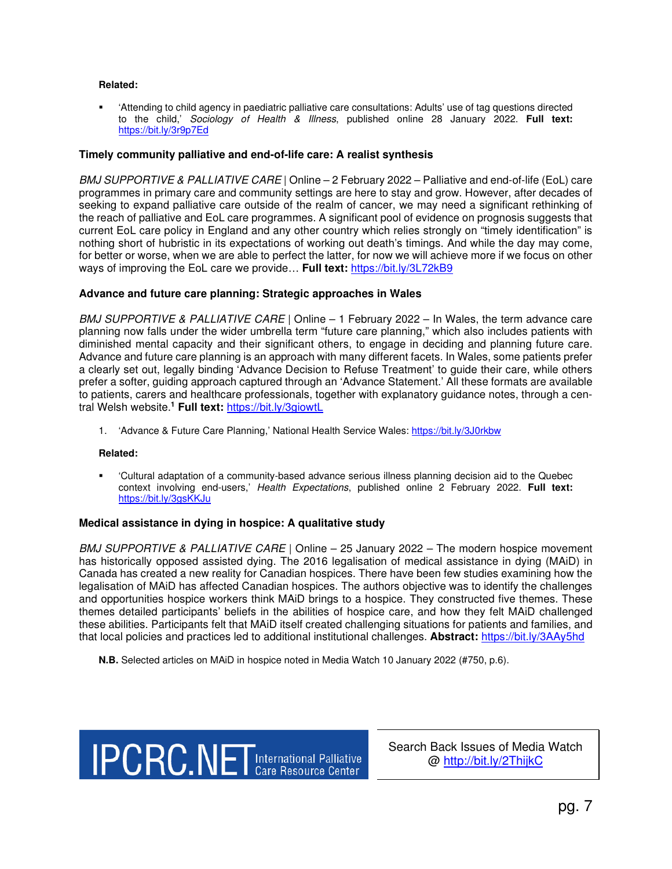#### **Related:**

 'Attending to child agency in paediatric palliative care consultations: Adults' use of tag questions directed to the child,' *Sociology of Health & Illness*, published online 28 January 2022. **Full text:** https://bit.ly/3r9p7Ed

#### **Timely community palliative and end-of-life care: A realist synthesis**

*BMJ SUPPORTIVE & PALLIATIVE CARE* | Online – 2 February 2022 – Palliative and end-of-life (EoL) care programmes in primary care and community settings are here to stay and grow. However, after decades of seeking to expand palliative care outside of the realm of cancer, we may need a significant rethinking of the reach of palliative and EoL care programmes. A significant pool of evidence on prognosis suggests that current EoL care policy in England and any other country which relies strongly on "timely identification" is nothing short of hubristic in its expectations of working out death's timings. And while the day may come, for better or worse, when we are able to perfect the latter, for now we will achieve more if we focus on other ways of improving the EoL care we provide… **Full text:** https://bit.ly/3L72kB9

#### **Advance and future care planning: Strategic approaches in Wales**

*BMJ SUPPORTIVE & PALLIATIVE CARE* | Online – 1 February 2022 – In Wales, the term advance care planning now falls under the wider umbrella term "future care planning," which also includes patients with diminished mental capacity and their significant others, to engage in deciding and planning future care. Advance and future care planning is an approach with many different facets. In Wales, some patients prefer a clearly set out, legally binding 'Advance Decision to Refuse Treatment' to guide their care, while others prefer a softer, guiding approach captured through an 'Advance Statement.' All these formats are available to patients, carers and healthcare professionals, together with explanatory guidance notes, through a central Welsh website.**<sup>1</sup> Full text:** https://bit.ly/3giowtL

1. 'Advance & Future Care Planning,' National Health Service Wales: https://bit.ly/3J0rkbw

#### **Related:**

 'Cultural adaptation of a community-based advance serious illness planning decision aid to the Quebec context involving end-users,' *Health Expectations*, published online 2 February 2022. **Full text:** https://bit.ly/3gsKKJu

#### **Medical assistance in dying in hospice: A qualitative study**

*BMJ SUPPORTIVE & PALLIATIVE CARE* | Online – 25 January 2022 – The modern hospice movement has historically opposed assisted dying. The 2016 legalisation of medical assistance in dying (MAiD) in Canada has created a new reality for Canadian hospices. There have been few studies examining how the legalisation of MAiD has affected Canadian hospices. The authors objective was to identify the challenges and opportunities hospice workers think MAiD brings to a hospice. They constructed five themes. These themes detailed participants' beliefs in the abilities of hospice care, and how they felt MAiD challenged these abilities. Participants felt that MAiD itself created challenging situations for patients and families, and that local policies and practices led to additional institutional challenges. **Abstract:** https://bit.ly/3AAy5hd

**N.B.** Selected articles on MAiD in hospice noted in Media Watch 10 January 2022 (#750, p.6).



Search Back Issues of Media Watch @ http://bit.ly/2ThijkC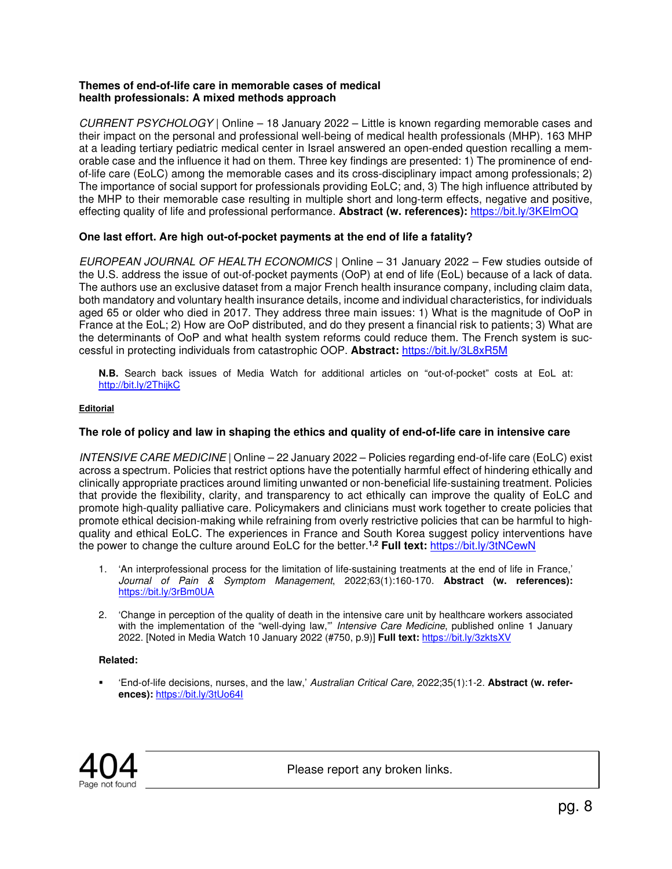## **Themes of end-of-life care in memorable cases of medical health professionals: A mixed methods approach**

*CURRENT PSYCHOLOGY* | Online – 18 January 2022 – Little is known regarding memorable cases and their impact on the personal and professional well-being of medical health professionals (MHP). 163 MHP at a leading tertiary pediatric medical center in Israel answered an open-ended question recalling a memorable case and the influence it had on them. Three key findings are presented: 1) The prominence of endof-life care (EoLC) among the memorable cases and its cross-disciplinary impact among professionals; 2) The importance of social support for professionals providing EoLC; and, 3) The high influence attributed by the MHP to their memorable case resulting in multiple short and long-term effects, negative and positive, effecting quality of life and professional performance. **Abstract (w. references):** https://bit.ly/3KElmOQ

## **One last effort. Are high out-of-pocket payments at the end of life a fatality?**

*EUROPEAN JOURNAL OF HEALTH ECONOMICS* | Online – 31 January 2022 – Few studies outside of the U.S. address the issue of out-of-pocket payments (OoP) at end of life (EoL) because of a lack of data. The authors use an exclusive dataset from a major French health insurance company, including claim data, both mandatory and voluntary health insurance details, income and individual characteristics, for individuals aged 65 or older who died in 2017. They address three main issues: 1) What is the magnitude of OoP in France at the EoL; 2) How are OoP distributed, and do they present a financial risk to patients; 3) What are the determinants of OoP and what health system reforms could reduce them. The French system is successful in protecting individuals from catastrophic OOP. **Abstract:** https://bit.ly/3L8xR5M

**N.B.** Search back issues of Media Watch for additional articles on "out-of-pocket" costs at EoL at: http://bit.ly/2ThijkC

### **Editorial**

## **The role of policy and law in shaping the ethics and quality of end-of-life care in intensive care**

*INTENSIVE CARE MEDICINE* | Online – 22 January 2022 – Policies regarding end-of-life care (EoLC) exist across a spectrum. Policies that restrict options have the potentially harmful effect of hindering ethically and clinically appropriate practices around limiting unwanted or non-beneficial life-sustaining treatment. Policies that provide the flexibility, clarity, and transparency to act ethically can improve the quality of EoLC and promote high-quality palliative care. Policymakers and clinicians must work together to create policies that promote ethical decision-making while refraining from overly restrictive policies that can be harmful to highquality and ethical EoLC. The experiences in France and South Korea suggest policy interventions have the power to change the culture around EoLC for the better.**1,2 Full text:** https://bit.ly/3tNCewN

- 1. 'An interprofessional process for the limitation of life-sustaining treatments at the end of life in France,' *Journal of Pain & Symptom Management*, 2022;63(1):160-170. **Abstract (w. references):** https://bit.ly/3rBm0UA
- 2. 'Change in perception of the quality of death in the intensive care unit by healthcare workers associated with the implementation of the "well-dying law,"' *Intensive Care Medicine*, published online 1 January 2022. [Noted in Media Watch 10 January 2022 (#750, p.9)] **Full text:** https://bit.ly/3zktsXV

#### **Related:**

 'End-of-life decisions, nurses, and the law,' *Australian Critical Care*, 2022;35(1):1-2. **Abstract (w. references):** https://bit.ly/3tUo64I



Please report any broken links.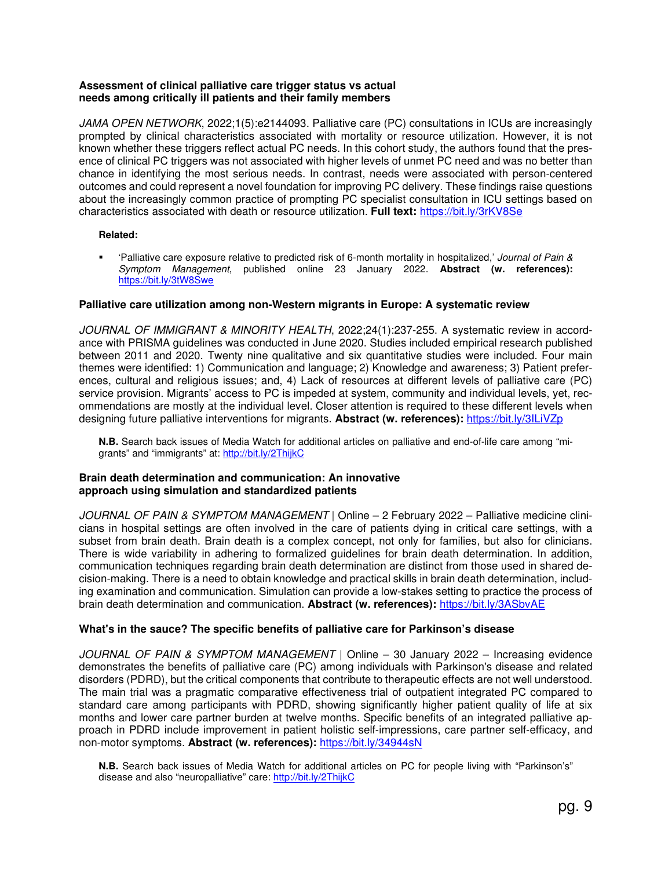#### **Assessment of clinical palliative care trigger status vs actual needs among critically ill patients and their family members**

*JAMA OPEN NETWORK*, 2022;1(5):e2144093. Palliative care (PC) consultations in ICUs are increasingly prompted by clinical characteristics associated with mortality or resource utilization. However, it is not known whether these triggers reflect actual PC needs. In this cohort study, the authors found that the presence of clinical PC triggers was not associated with higher levels of unmet PC need and was no better than chance in identifying the most serious needs. In contrast, needs were associated with person-centered outcomes and could represent a novel foundation for improving PC delivery. These findings raise questions about the increasingly common practice of prompting PC specialist consultation in ICU settings based on characteristics associated with death or resource utilization. **Full text:** https://bit.ly/3rKV8Se

#### **Related:**

 'Palliative care exposure relative to predicted risk of 6-month mortality in hospitalized,' *Journal of Pain & Symptom Management*, published online 23 January 2022. **Abstract (w. references):**  https://bit.ly/3tW8Swe

## **Palliative care utilization among non-Western migrants in Europe: A systematic review**

*JOURNAL OF IMMIGRANT & MINORITY HEALTH*, 2022;24(1):237-255. A systematic review in accordance with PRISMA guidelines was conducted in June 2020. Studies included empirical research published between 2011 and 2020. Twenty nine qualitative and six quantitative studies were included. Four main themes were identified: 1) Communication and language; 2) Knowledge and awareness; 3) Patient preferences, cultural and religious issues; and, 4) Lack of resources at different levels of palliative care (PC) service provision. Migrants' access to PC is impeded at system, community and individual levels, yet, recommendations are mostly at the individual level. Closer attention is required to these different levels when designing future palliative interventions for migrants. **Abstract (w. references):** https://bit.ly/3ILiVZp

**N.B.** Search back issues of Media Watch for additional articles on palliative and end-of-life care among "migrants" and "immigrants" at: http://bit.ly/2ThijkC

### **Brain death determination and communication: An innovative approach using simulation and standardized patients**

*JOURNAL OF PAIN & SYMPTOM MANAGEMENT* | Online – 2 February 2022 – Palliative medicine clinicians in hospital settings are often involved in the care of patients dying in critical care settings, with a subset from brain death. Brain death is a complex concept, not only for families, but also for clinicians. There is wide variability in adhering to formalized guidelines for brain death determination. In addition, communication techniques regarding brain death determination are distinct from those used in shared decision-making. There is a need to obtain knowledge and practical skills in brain death determination, including examination and communication. Simulation can provide a low-stakes setting to practice the process of brain death determination and communication. **Abstract (w. references):** https://bit.ly/3ASbvAE

## **What's in the sauce? The specific benefits of palliative care for Parkinson's disease**

*JOURNAL OF PAIN & SYMPTOM MANAGEMENT* | Online – 30 January 2022 – Increasing evidence demonstrates the benefits of palliative care (PC) among individuals with Parkinson's disease and related disorders (PDRD), but the critical components that contribute to therapeutic effects are not well understood. The main trial was a pragmatic comparative effectiveness trial of outpatient integrated PC compared to standard care among participants with PDRD, showing significantly higher patient quality of life at six months and lower care partner burden at twelve months. Specific benefits of an integrated palliative approach in PDRD include improvement in patient holistic self-impressions, care partner self-efficacy, and non-motor symptoms. **Abstract (w. references):** https://bit.ly/34944sN

**N.B.** Search back issues of Media Watch for additional articles on PC for people living with "Parkinson's" disease and also "neuropalliative" care: http://bit.ly/2ThijkC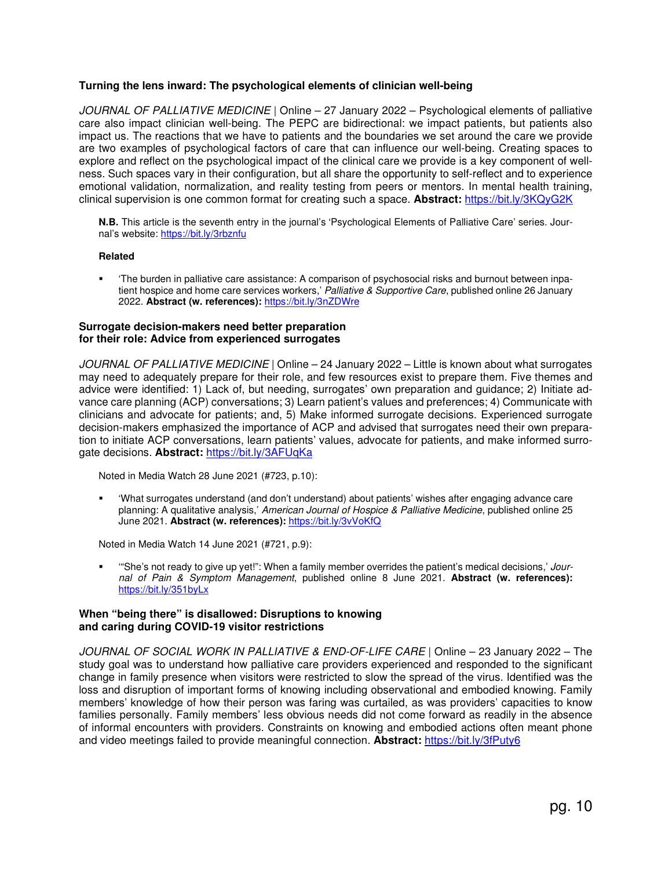## **Turning the lens inward: The psychological elements of clinician well-being**

*JOURNAL OF PALLIATIVE MEDICINE* | Online – 27 January 2022 – Psychological elements of palliative care also impact clinician well-being. The PEPC are bidirectional: we impact patients, but patients also impact us. The reactions that we have to patients and the boundaries we set around the care we provide are two examples of psychological factors of care that can influence our well-being. Creating spaces to explore and reflect on the psychological impact of the clinical care we provide is a key component of wellness. Such spaces vary in their configuration, but all share the opportunity to self-reflect and to experience emotional validation, normalization, and reality testing from peers or mentors. In mental health training, clinical supervision is one common format for creating such a space. **Abstract:** https://bit.ly/3KQyG2K

**N.B.** This article is the seventh entry in the journal's 'Psychological Elements of Palliative Care' series. Journal's website: https://bit.ly/3rbznfu

#### **Related**

 'The burden in palliative care assistance: A comparison of psychosocial risks and burnout between inpatient hospice and home care services workers,' *Palliative & Supportive Care*, published online 26 January 2022. **Abstract (w. references):** https://bit.ly/3nZDWre

#### **Surrogate decision-makers need better preparation for their role: Advice from experienced surrogates**

*JOURNAL OF PALLIATIVE MEDICINE* | Online – 24 January 2022 – Little is known about what surrogates may need to adequately prepare for their role, and few resources exist to prepare them. Five themes and advice were identified: 1) Lack of, but needing, surrogates' own preparation and guidance; 2) Initiate advance care planning (ACP) conversations; 3) Learn patient's values and preferences; 4) Communicate with clinicians and advocate for patients; and, 5) Make informed surrogate decisions. Experienced surrogate decision-makers emphasized the importance of ACP and advised that surrogates need their own preparation to initiate ACP conversations, learn patients' values, advocate for patients, and make informed surrogate decisions. Abstract: https://bit.ly/3AFUqKa

Noted in Media Watch 28 June 2021 (#723, p.10):

 'What surrogates understand (and don't understand) about patients' wishes after engaging advance care planning: A qualitative analysis,' *American Journal of Hospice & Palliative Medicine*, published online 25 June 2021. Abstract (w. references): https://bit.ly/3vVoKfQ

Noted in Media Watch 14 June 2021 (#721, p.9):

 '"She's not ready to give up yet!": When a family member overrides the patient's medical decisions,' *Journal of Pain & Symptom Management*, published online 8 June 2021. **Abstract (w. references):**  https://bit.ly/351byLx

#### **When "being there" is disallowed: Disruptions to knowing and caring during COVID-19 visitor restrictions**

*JOURNAL OF SOCIAL WORK IN PALLIATIVE & END-OF-LIFE CARE* | Online – 23 January 2022 – The study goal was to understand how palliative care providers experienced and responded to the significant change in family presence when visitors were restricted to slow the spread of the virus. Identified was the loss and disruption of important forms of knowing including observational and embodied knowing. Family members' knowledge of how their person was faring was curtailed, as was providers' capacities to know families personally. Family members' less obvious needs did not come forward as readily in the absence of informal encounters with providers. Constraints on knowing and embodied actions often meant phone and video meetings failed to provide meaningful connection. **Abstract:** https://bit.ly/3fPuty6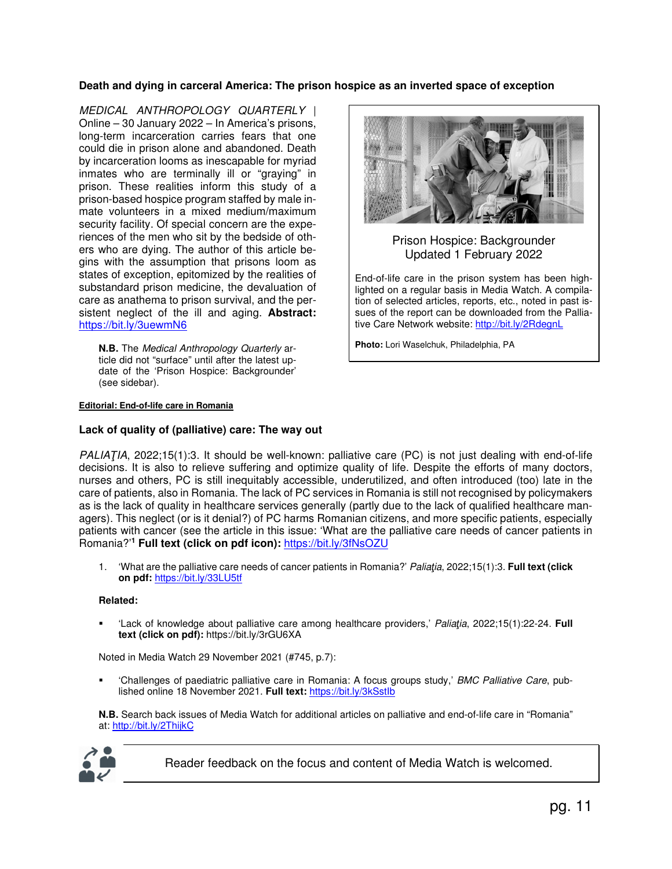## **Death and dying in carceral America: The prison hospice as an inverted space of exception**

*MEDICAL ANTHROPOLOGY QUARTERLY* | Online – 30 January 2022 – In America's prisons, long-term incarceration carries fears that one could die in prison alone and abandoned. Death by incarceration looms as inescapable for myriad inmates who are terminally ill or "graying" in prison. These realities inform this study of a prison-based hospice program staffed by male inmate volunteers in a mixed medium/maximum security facility. Of special concern are the experiences of the men who sit by the bedside of others who are dying. The author of this article begins with the assumption that prisons loom as states of exception, epitomized by the realities of substandard prison medicine, the devaluation of care as anathema to prison survival, and the persistent neglect of the ill and aging. **Abstract:** https://bit.ly/3uewmN6

**N.B.** The *Medical Anthropology Quarterly* article did not "surface" until after the latest update of the 'Prison Hospice: Backgrounder' (see sidebar).

#### **Editorial: End-of-life care in Romania**

#### **Lack of quality of (palliative) care: The way out**



Prison Hospice: Backgrounder Updated 1 February 2022

End-of-life care in the prison system has been highlighted on a regular basis in Media Watch. A compilation of selected articles, reports, etc., noted in past issues of the report can be downloaded from the Palliative Care Network website: http://bit.ly/2RdegnL

**Photo:** Lori Waselchuk, Philadelphia, PA

*PALIAŢIA*, 2022;15(1):3. It should be well-known: palliative care (PC) is not just dealing with end-of-life decisions. It is also to relieve suffering and optimize quality of life. Despite the efforts of many doctors, nurses and others, PC is still inequitably accessible, underutilized, and often introduced (too) late in the care of patients, also in Romania. The lack of PC services in Romania is still not recognised by policymakers as is the lack of quality in healthcare services generally (partly due to the lack of qualified healthcare managers). This neglect (or is it denial?) of PC harms Romanian citizens, and more specific patients, especially patients with cancer (see the article in this issue: 'What are the palliative care needs of cancer patients in Romania?'**<sup>1</sup> Full text (click on pdf icon):** https://bit.ly/3fNsOZU

1. 'What are the palliative care needs of cancer patients in Romania?' *Paliaţia*, 2022;15(1):3. **Full text (click on pdf:** https://bit.ly/33LU5tf

#### **Related:**

 'Lack of knowledge about palliative care among healthcare providers,' *Paliaţia*, 2022;15(1):22-24. **Full text (click on pdf):** https://bit.ly/3rGU6XA

Noted in Media Watch 29 November 2021 (#745, p.7):

 'Challenges of paediatric palliative care in Romania: A focus groups study,' *BMC Palliative Care*, published online 18 November 2021. **Full text:** https://bit.ly/3kSstIb

**N.B.** Search back issues of Media Watch for additional articles on palliative and end-of-life care in "Romania" at: http://bit.ly/2ThijkC



Reader feedback on the focus and content of Media Watch is welcomed.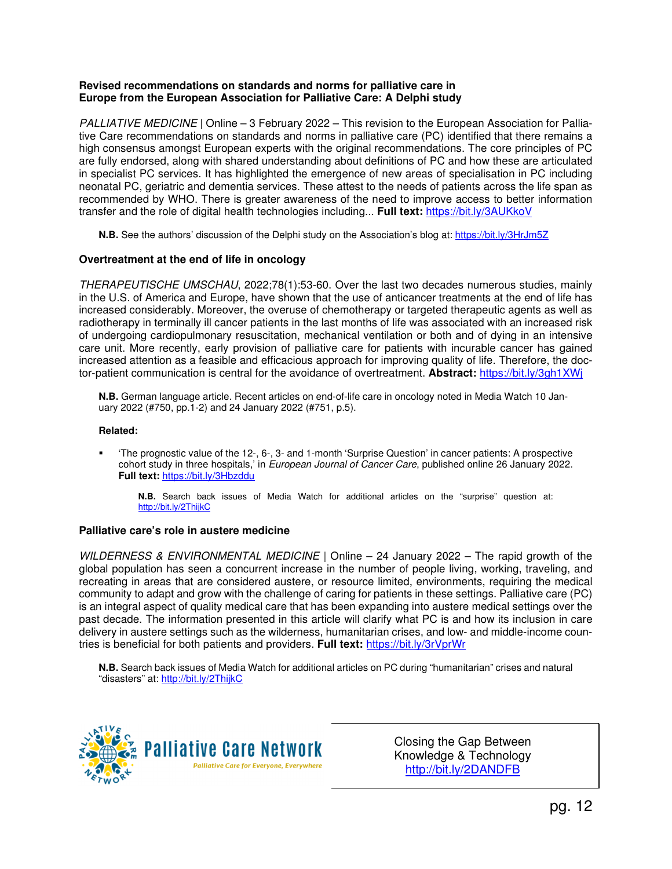### **Revised recommendations on standards and norms for palliative care in Europe from the European Association for Palliative Care: A Delphi study**

*PALLIATIVE MEDICINE* | Online – 3 February 2022 – This revision to the European Association for Palliative Care recommendations on standards and norms in palliative care (PC) identified that there remains a high consensus amongst European experts with the original recommendations. The core principles of PC are fully endorsed, along with shared understanding about definitions of PC and how these are articulated in specialist PC services. It has highlighted the emergence of new areas of specialisation in PC including neonatal PC, geriatric and dementia services. These attest to the needs of patients across the life span as recommended by WHO. There is greater awareness of the need to improve access to better information transfer and the role of digital health technologies including... **Full text:** https://bit.ly/3AUKkoV

**N.B.** See the authors' discussion of the Delphi study on the Association's blog at: https://bit.ly/3HrJm5Z

## **Overtreatment at the end of life in oncology**

*THERAPEUTISCHE UMSCHAU*, 2022;78(1):53-60. Over the last two decades numerous studies, mainly in the U.S. of America and Europe, have shown that the use of anticancer treatments at the end of life has increased considerably. Moreover, the overuse of chemotherapy or targeted therapeutic agents as well as radiotherapy in terminally ill cancer patients in the last months of life was associated with an increased risk of undergoing cardiopulmonary resuscitation, mechanical ventilation or both and of dying in an intensive care unit. More recently, early provision of palliative care for patients with incurable cancer has gained increased attention as a feasible and efficacious approach for improving quality of life. Therefore, the doctor-patient communication is central for the avoidance of overtreatment. **Abstract:** https://bit.ly/3gh1XWj

**N.B.** German language article. Recent articles on end-of-life care in oncology noted in Media Watch 10 January 2022 (#750, pp.1-2) and 24 January 2022 (#751, p.5).

### **Related:**

 'The prognostic value of the 12-, 6-, 3- and 1-month 'Surprise Question' in cancer patients: A prospective cohort study in three hospitals,' in *European Journal of Cancer Care*, published online 26 January 2022. **Full text:** https://bit.ly/3Hbzddu

**N.B.** Search back issues of Media Watch for additional articles on the "surprise" question at: http://bit.ly/2ThijkC

## **Palliative care's role in austere medicine**

*WILDERNESS & ENVIRONMENTAL MEDICINE* | Online – 24 January 2022 – The rapid growth of the global population has seen a concurrent increase in the number of people living, working, traveling, and recreating in areas that are considered austere, or resource limited, environments, requiring the medical community to adapt and grow with the challenge of caring for patients in these settings. Palliative care (PC) is an integral aspect of quality medical care that has been expanding into austere medical settings over the past decade. The information presented in this article will clarify what PC is and how its inclusion in care delivery in austere settings such as the wilderness, humanitarian crises, and low- and middle-income countries is beneficial for both patients and providers. **Full text:** https://bit.ly/3rVprWr

**N.B.** Search back issues of Media Watch for additional articles on PC during "humanitarian" crises and natural "disasters" at: http://bit.ly/2ThijkC



Closing the Gap Between Knowledge & Technology http://bit.ly/2DANDFB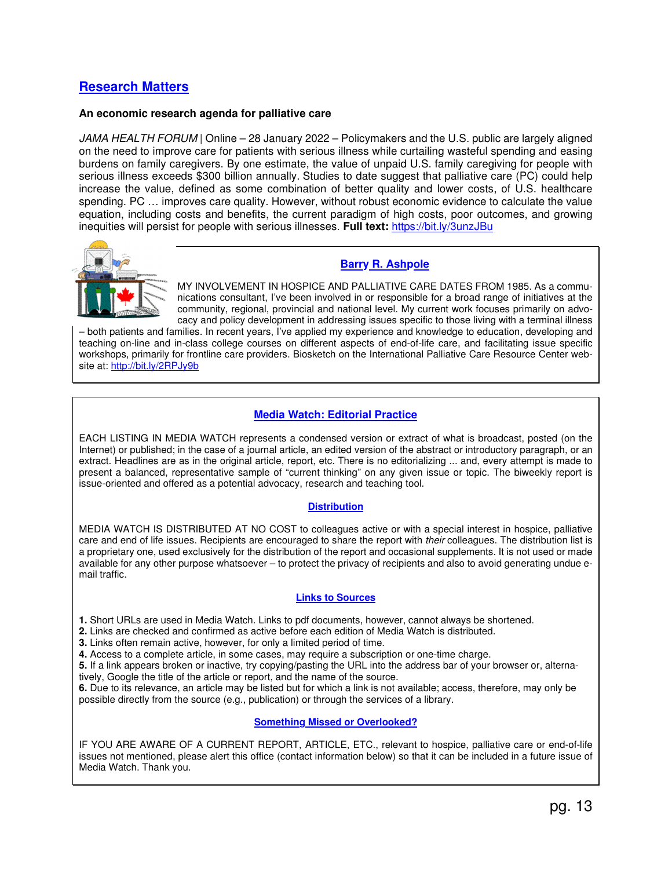## **Research Matters**

#### **An economic research agenda for palliative care**

*JAMA HEALTH FORUM* | Online – 28 January 2022 – Policymakers and the U.S. public are largely aligned on the need to improve care for patients with serious illness while curtailing wasteful spending and easing burdens on family caregivers. By one estimate, the value of unpaid U.S. family caregiving for people with serious illness exceeds \$300 billion annually. Studies to date suggest that palliative care (PC) could help increase the value, defined as some combination of better quality and lower costs, of U.S. healthcare spending. PC … improves care quality. However, without robust economic evidence to calculate the value equation, including costs and benefits, the current paradigm of high costs, poor outcomes, and growing inequities will persist for people with serious illnesses. **Full text:** https://bit.ly/3unzJBu



## **Barry R. Ashpole**

MY INVOLVEMENT IN HOSPICE AND PALLIATIVE CARE DATES FROM 1985. As a communications consultant, I've been involved in or responsible for a broad range of initiatives at the community, regional, provincial and national level. My current work focuses primarily on advocacy and policy development in addressing issues specific to those living with a terminal illness

– both patients and families. In recent years, I've applied my experience and knowledge to education, developing and teaching on-line and in-class college courses on different aspects of end-of-life care, and facilitating issue specific workshops, primarily for frontline care providers. Biosketch on the International Palliative Care Resource Center website at: http://bit.ly/2RPJy9b

## **Media Watch: Editorial Practice**

EACH LISTING IN MEDIA WATCH represents a condensed version or extract of what is broadcast, posted (on the Internet) or published; in the case of a journal article, an edited version of the abstract or introductory paragraph, or an extract. Headlines are as in the original article, report, etc. There is no editorializing ... and, every attempt is made to present a balanced, representative sample of "current thinking" on any given issue or topic. The biweekly report is issue-oriented and offered as a potential advocacy, research and teaching tool.

#### **Distribution**

MEDIA WATCH IS DISTRIBUTED AT NO COST to colleagues active or with a special interest in hospice, palliative care and end of life issues. Recipients are encouraged to share the report with *their* colleagues. The distribution list is a proprietary one, used exclusively for the distribution of the report and occasional supplements. It is not used or made available for any other purpose whatsoever – to protect the privacy of recipients and also to avoid generating undue email traffic.

## **Links to Sources**

**1.** Short URLs are used in Media Watch. Links to pdf documents, however, cannot always be shortened.

**2.** Links are checked and confirmed as active before each edition of Media Watch is distributed.

**3.** Links often remain active, however, for only a limited period of time.

**4.** Access to a complete article, in some cases, may require a subscription or one-time charge.

**5.** If a link appears broken or inactive, try copying/pasting the URL into the address bar of your browser or, alternatively, Google the title of the article or report, and the name of the source.

**6.** Due to its relevance, an article may be listed but for which a link is not available; access, therefore, may only be possible directly from the source (e.g., publication) or through the services of a library.

## **Something Missed or Overlooked?**

IF YOU ARE AWARE OF A CURRENT REPORT, ARTICLE, ETC., relevant to hospice, palliative care or end-of-life issues not mentioned, please alert this office (contact information below) so that it can be included in a future issue of Media Watch. Thank you.